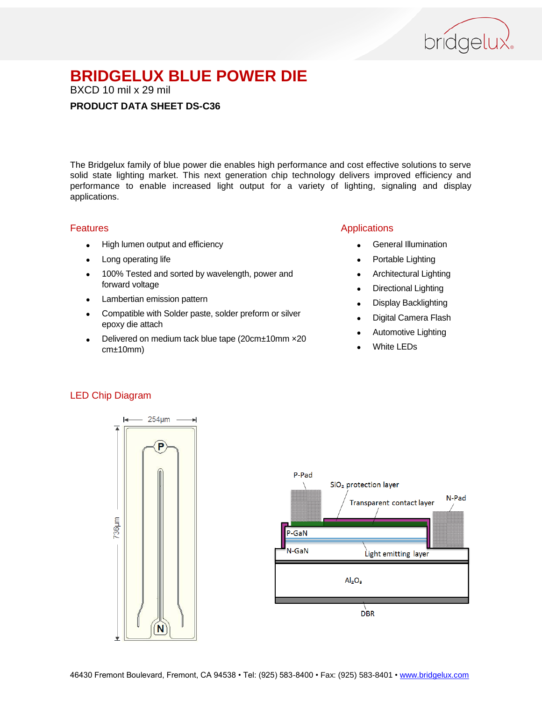

BXCD 10 mil x 29 mil

#### **PRODUCT DATA SHEET DS-C36**

The Bridgelux family of blue power die enables high performance and cost effective solutions to serve solid state lighting market. This next generation chip technology delivers improved efficiency and performance to enable increased light output for a variety of lighting, signaling and display applications.

#### Features

- High lumen output and efficiency
- Long operating life
- 100% Tested and sorted by wavelength, power and forward voltage
- Lambertian emission pattern
- Compatible with Solder paste, solder preform or silver epoxy die attach
- Delivered on medium tack blue tape (20cm±10mm ×20 cm±10mm)

### Applications

- General Illumination
- Portable Lighting
- Architectural Lighting
- Directional Lighting
- Display Backlighting
- Digital Camera Flash
- Automotive Lighting
- White LEDs

#### LED Chip Diagram



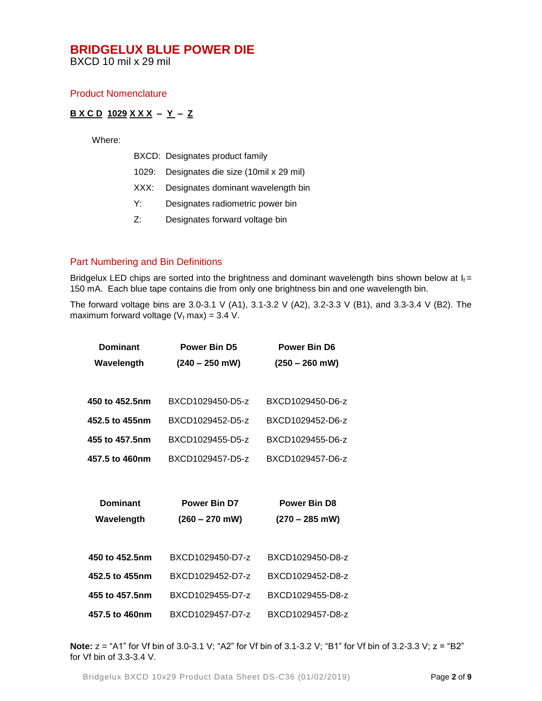BXCD 10 mil x 29 mil

#### Product Nomenclature

#### **B X C D 1029 X X X – Y – Z**

Where:

|  | BXCD: Designates product family |  |  |
|--|---------------------------------|--|--|
|--|---------------------------------|--|--|

- 1029: Designates die size (10mil x 29 mil)
- XXX: Designates dominant wavelength bin
- Y: Designates radiometric power bin
- Z: Designates forward voltage bin

#### Part Numbering and Bin Definitions

Bridgelux LED chips are sorted into the brightness and dominant wavelength bins shown below at  $I_f =$ 150 mA. Each blue tape contains die from only one brightness bin and one wavelength bin.

The forward voltage bins are 3.0-3.1 V (A1), 3.1-3.2 V (A2), 3.2-3.3 V (B1), and 3.3-3.4 V (B2). The maximum forward voltage ( $V_f$  max) = 3.4 V.

| <b>Dominant</b> | <b>Power Bin D5</b> | <b>Power Bin D6</b> |  |
|-----------------|---------------------|---------------------|--|
| Wavelength      | $(240 - 250$ mW)    | $(250 - 260$ mW)    |  |
|                 |                     |                     |  |
| 450 to 452.5nm  | BXCD1029450-D5-z    | BXCD1029450-D6-z    |  |
| 452.5 to 455nm  | BXCD1029452-D5-z    | BXCD1029452-D6-z    |  |
| 455 to 457.5nm  | BXCD1029455-D5-z    | BXCD1029455-D6-z    |  |
| 457.5 to 460nm  | BXCD1029457-D5-z    | BXCD1029457-D6-z    |  |
|                 |                     |                     |  |
|                 |                     |                     |  |
| <b>Dominant</b> | <b>Power Bin D7</b> | <b>Power Bin D8</b> |  |
| Wavelength      | $(260 - 270$ mW)    | $(270 - 285$ mW)    |  |
|                 |                     |                     |  |
| 450 to 452.5nm  | BXCD1029450-D7-z    | BXCD1029450-D8-z    |  |
| 452.5 to 455nm  | BXCD1029452-D7-z    | BXCD1029452-D8-z    |  |
| 455 to 457.5nm  | BXCD1029455-D7-z    | BXCD1029455-D8-z    |  |
| 457.5 to 460nm  | BXCD1029457-D7-z    | BXCD1029457-D8-z    |  |

**Note:**  $z = "A1"$  for Vf bin of 3.0-3.1 V; "A2" for Vf bin of 3.1-3.2 V; "B1" for Vf bin of 3.2-3.3 V;  $z = "B2"$ for Vf bin of 3.3-3.4 V.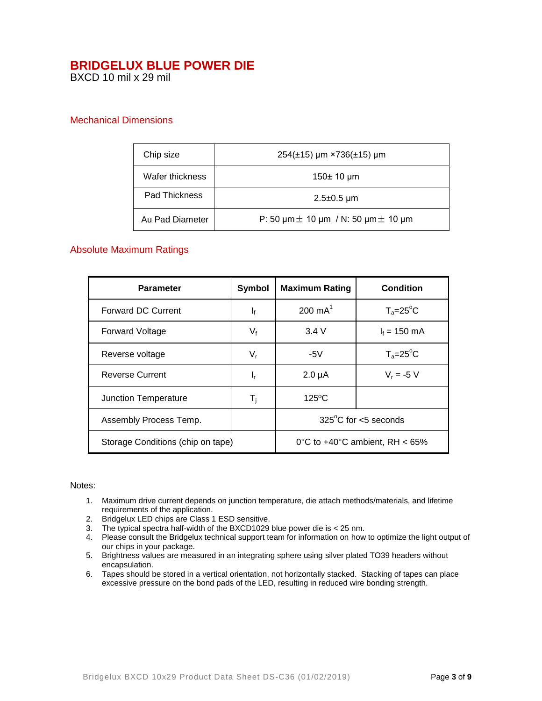BXCD 10 mil x 29 mil

#### Mechanical Dimensions

| Chip size       | $254(\pm 15)$ µm ×736( $\pm 15$ ) µm                            |  |
|-----------------|-----------------------------------------------------------------|--|
| Wafer thickness | 150 $\pm$ 10 µm                                                 |  |
| Pad Thickness   | $2.5 \pm 0.5$ µm                                                |  |
| Au Pad Diameter | P: 50 $\mu$ m $\pm$ 10 $\mu$ m / N: 50 $\mu$ m $\pm$ 10 $\mu$ m |  |

#### Absolute Maximum Ratings

| <b>Parameter</b>                  | Symbol                    | <b>Maximum Rating</b>             | Condition          |
|-----------------------------------|---------------------------|-----------------------------------|--------------------|
| <b>Forward DC Current</b>         | $\mathbf{I}_{\mathbf{f}}$ | $200 \text{ mA}^1$                | $T_a = 25$ °C      |
| <b>Forward Voltage</b>            | V <sub>f</sub>            | 3.4V                              | $I_f = 150$ mA     |
| Reverse voltage                   | $V_{r}$                   | -5 $V$                            | $T_a = 25^\circ C$ |
| <b>Reverse Current</b>            | ı,                        | $2.0 \mu A$                       | $V_r = -5 V$       |
| <b>Junction Temperature</b>       | T <sub>i</sub>            | $125^{\circ}$ C                   |                    |
| Assembly Process Temp.            |                           | $325^{\circ}$ C for <5 seconds    |                    |
| Storage Conditions (chip on tape) |                           | 0°C to $+40$ °C ambient, RH < 65% |                    |

#### Notes:

- 1. Maximum drive current depends on junction temperature, die attach methods/materials, and lifetime requirements of the application.
- 2. Bridgelux LED chips are Class 1 ESD sensitive.
- 3. The typical spectra half-width of the BXCD1029 blue power die is < 25 nm.
- 4. Please consult the Bridgelux technical support team for information on how to optimize the light output of our chips in your package.
- 5. Brightness values are measured in an integrating sphere using silver plated TO39 headers without encapsulation.
- 6. Tapes should be stored in a vertical orientation, not horizontally stacked. Stacking of tapes can place excessive pressure on the bond pads of the LED, resulting in reduced wire bonding strength.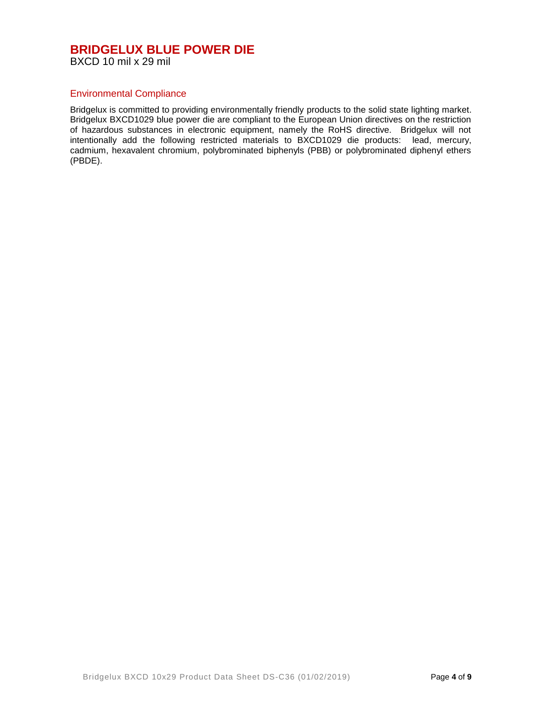#### **BRIDGELUX BLUE POWER DIE** BXCD 10 mil x 29 mil

#### Environmental Compliance

Bridgelux is committed to providing environmentally friendly products to the solid state lighting market. Bridgelux BXCD1029 blue power die are compliant to the European Union directives on the restriction of hazardous substances in electronic equipment, namely the RoHS directive. Bridgelux will not intentionally add the following restricted materials to BXCD1029 die products: lead, mercury, cadmium, hexavalent chromium, polybrominated biphenyls (PBB) or polybrominated diphenyl ethers (PBDE).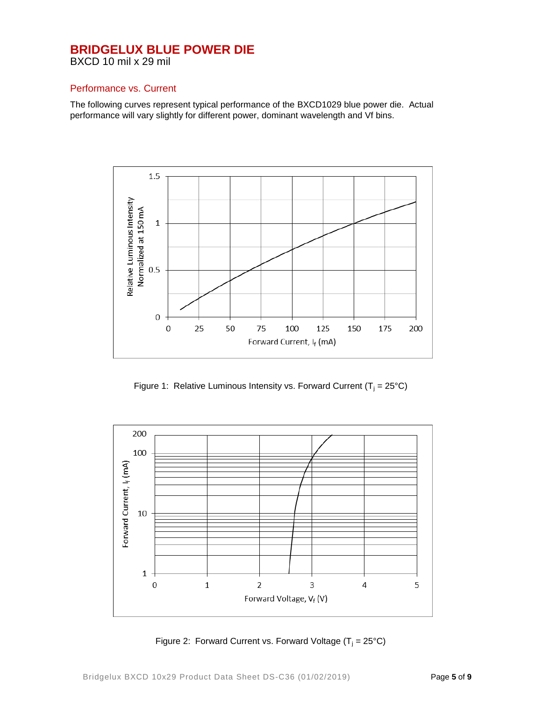BXCD 10 mil x 29 mil

#### Performance vs. Current

The following curves represent typical performance of the BXCD1029 blue power die. Actual performance will vary slightly for different power, dominant wavelength and Vf bins.



Figure 1: Relative Luminous Intensity vs. Forward Current ( $T_i = 25^{\circ}C$ )



Figure 2: Forward Current vs. Forward Voltage  $(T_i = 25^{\circ}C)$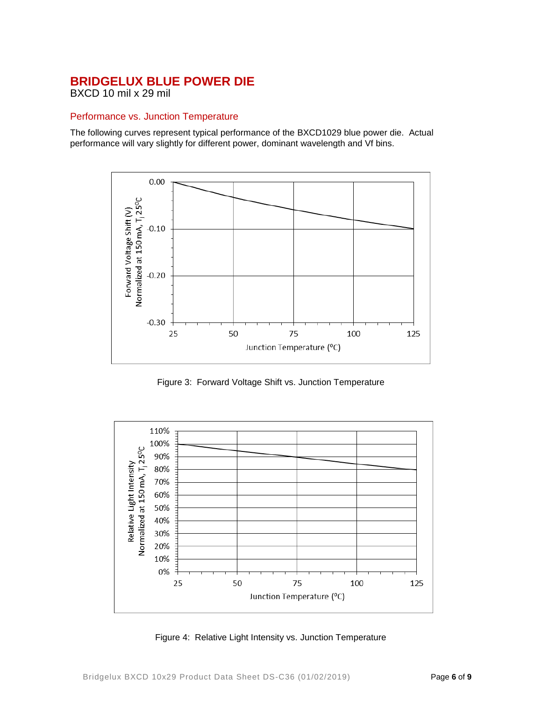BXCD 10 mil x 29 mil

### Performance vs. Junction Temperature

The following curves represent typical performance of the BXCD1029 blue power die. Actual performance will vary slightly for different power, dominant wavelength and Vf bins.



Figure 3: Forward Voltage Shift vs. Junction Temperature



Figure 4: Relative Light Intensity vs. Junction Temperature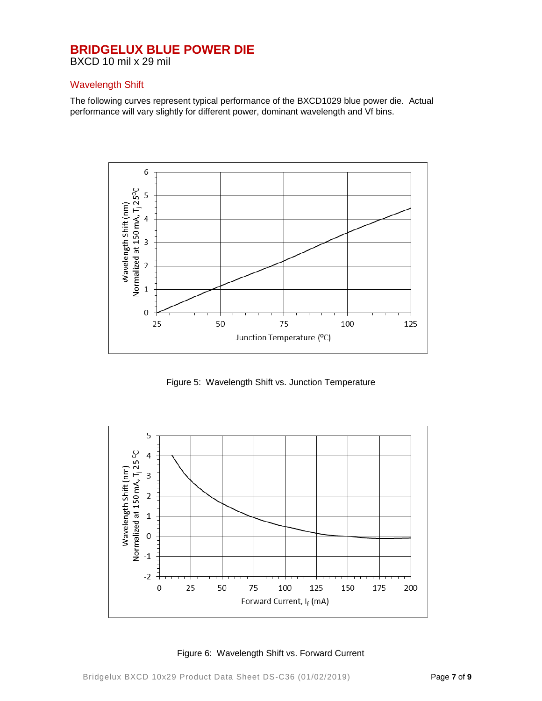BXCD 10 mil x 29 mil

#### Wavelength Shift

The following curves represent typical performance of the BXCD1029 blue power die. Actual performance will vary slightly for different power, dominant wavelength and Vf bins.



Figure 5: Wavelength Shift vs. Junction Temperature



Figure 6: Wavelength Shift vs. Forward Current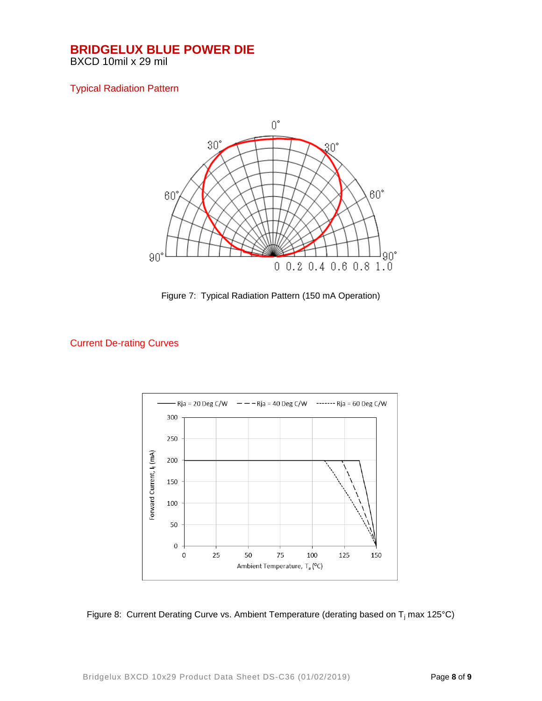BXCD 10mil x 29 mil

### Typical Radiation Pattern



Figure 7: Typical Radiation Pattern (150 mA Operation)

## Current De-rating Curves